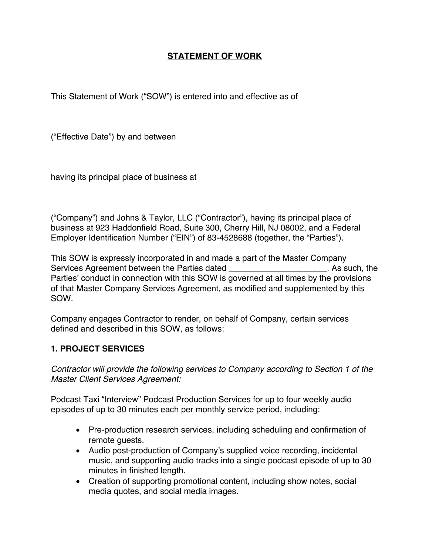## **STATEMENT OF WORK**

This Statement of Work ("SOW") is entered into and effective as of

("Effective Date") by and between

having its principal place of business at

("Company") and Johns & Taylor, LLC ("Contractor"), having its principal place of business at 923 Haddonfield Road, Suite 300, Cherry Hill, NJ 08002, and a Federal Employer Identification Number ("EIN") of 83-4528688 (together, the "Parties").

This SOW is expressly incorporated in and made a part of the Master Company Services Agreement between the Parties dated \_\_\_\_\_\_\_\_\_\_\_\_\_\_\_\_\_\_\_\_\_\_\_. As such, the Parties' conduct in connection with this SOW is governed at all times by the provisions of that Master Company Services Agreement, as modified and supplemented by this SOW.

Company engages Contractor to render, on behalf of Company, certain services defined and described in this SOW, as follows:

## **1. PROJECT SERVICES**

*Contractor will provide the following services to Company according to Section 1 of the Master Client Services Agreement:*

Podcast Taxi "Interview" Podcast Production Services for up to four weekly audio episodes of up to 30 minutes each per monthly service period, including:

- Pre-production research services, including scheduling and confirmation of remote guests.
- Audio post-production of Company's supplied voice recording, incidental music, and supporting audio tracks into a single podcast episode of up to 30 minutes in finished length.
- Creation of supporting promotional content, including show notes, social media quotes, and social media images.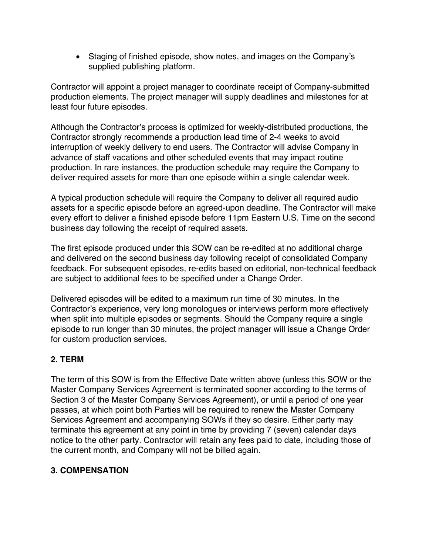• Staging of finished episode, show notes, and images on the Company's supplied publishing platform.

Contractor will appoint a project manager to coordinate receipt of Company-submitted production elements. The project manager will supply deadlines and milestones for at least four future episodes.

Although the Contractor's process is optimized for weekly-distributed productions, the Contractor strongly recommends a production lead time of 2-4 weeks to avoid interruption of weekly delivery to end users. The Contractor will advise Company in advance of staff vacations and other scheduled events that may impact routine production. In rare instances, the production schedule may require the Company to deliver required assets for more than one episode within a single calendar week.

A typical production schedule will require the Company to deliver all required audio assets for a specific episode before an agreed-upon deadline. The Contractor will make every effort to deliver a finished episode before 11pm Eastern U.S. Time on the second business day following the receipt of required assets.

The first episode produced under this SOW can be re-edited at no additional charge and delivered on the second business day following receipt of consolidated Company feedback. For subsequent episodes, re-edits based on editorial, non-technical feedback are subject to additional fees to be specified under a Change Order.

Delivered episodes will be edited to a maximum run time of 30 minutes. In the Contractor's experience, very long monologues or interviews perform more effectively when split into multiple episodes or segments. Should the Company require a single episode to run longer than 30 minutes, the project manager will issue a Change Order for custom production services.

## **2. TERM**

The term of this SOW is from the Effective Date written above (unless this SOW or the Master Company Services Agreement is terminated sooner according to the terms of Section 3 of the Master Company Services Agreement), or until a period of one year passes, at which point both Parties will be required to renew the Master Company Services Agreement and accompanying SOWs if they so desire. Either party may terminate this agreement at any point in time by providing 7 (seven) calendar days notice to the other party. Contractor will retain any fees paid to date, including those of the current month, and Company will not be billed again.

# **3. COMPENSATION**